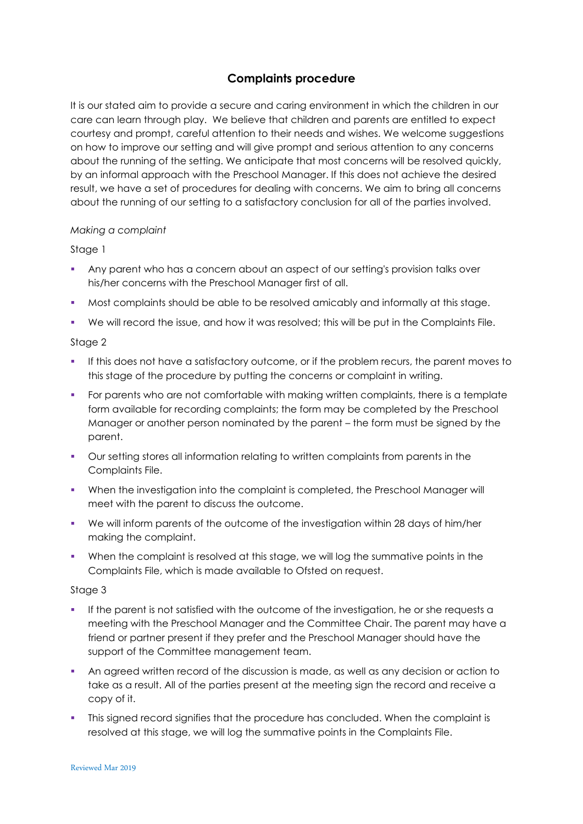# **Complaints procedure**

It is our stated aim to provide a secure and caring environment in which the children in our care can learn through play. We believe that children and parents are entitled to expect courtesy and prompt, careful attention to their needs and wishes. We welcome suggestions on how to improve our setting and will give prompt and serious attention to any concerns about the running of the setting. We anticipate that most concerns will be resolved quickly, by an informal approach with the Preschool Manager. If this does not achieve the desired result, we have a set of procedures for dealing with concerns. We aim to bring all concerns about the running of our setting to a satisfactory conclusion for all of the parties involved.

## *Making a complaint*

## Stage 1

- Any parent who has a concern about an aspect of our setting's provision talks over his/her concerns with the Preschool Manager first of all.
- Most complaints should be able to be resolved amicably and informally at this stage.
- We will record the issue, and how it was resolved; this will be put in the Complaints File.

## Stage 2

- If this does not have a satisfactory outcome, or if the problem recurs, the parent moves to this stage of the procedure by putting the concerns or complaint in writing.
- For parents who are not comfortable with making written complaints, there is a template form available for recording complaints; the form may be completed by the Preschool Manager or another person nominated by the parent – the form must be signed by the parent.
- Our setting stores all information relating to written complaints from parents in the Complaints File.
- When the investigation into the complaint is completed, the Preschool Manager will meet with the parent to discuss the outcome.
- We will inform parents of the outcome of the investigation within 28 days of him/her making the complaint.
- When the complaint is resolved at this stage, we will log the summative points in the Complaints File, which is made available to Ofsted on request.

#### Stage 3

- If the parent is not satisfied with the outcome of the investigation, he or she requests a meeting with the Preschool Manager and the Committee Chair. The parent may have a friend or partner present if they prefer and the Preschool Manager should have the support of the Committee management team.
- An agreed written record of the discussion is made, as well as any decision or action to take as a result. All of the parties present at the meeting sign the record and receive a copy of it.
- This signed record signifies that the procedure has concluded. When the complaint is resolved at this stage, we will log the summative points in the Complaints File.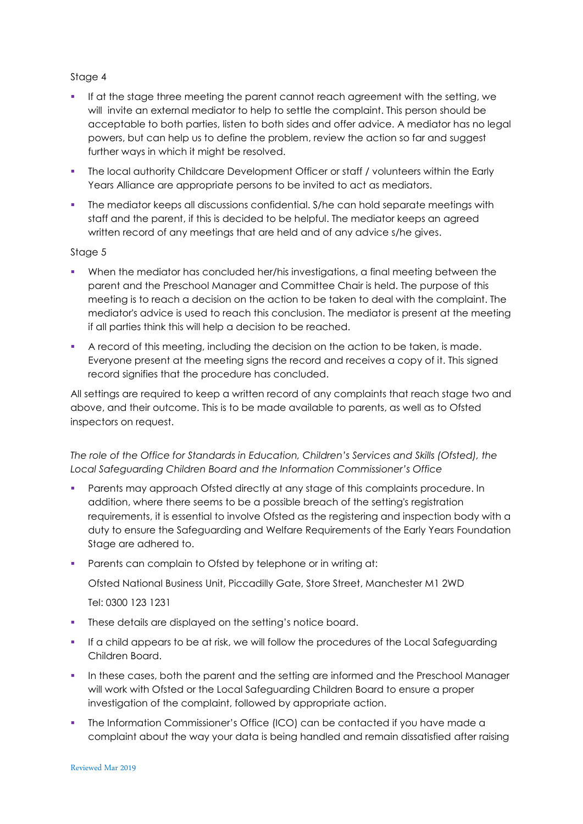## Stage 4

- If at the stage three meeting the parent cannot reach agreement with the setting, we will invite an external mediator to help to settle the complaint. This person should be acceptable to both parties, listen to both sides and offer advice. A mediator has no legal powers, but can help us to define the problem, review the action so far and suggest further ways in which it might be resolved.
- The local authority Childcare Development Officer or staff / volunteers within the Early Years Alliance are appropriate persons to be invited to act as mediators.
- The mediator keeps all discussions confidential. S/he can hold separate meetings with staff and the parent, if this is decided to be helpful. The mediator keeps an agreed written record of any meetings that are held and of any advice s/he gives.

## Stage 5

- When the mediator has concluded her/his investigations, a final meeting between the parent and the Preschool Manager and Committee Chair is held. The purpose of this meeting is to reach a decision on the action to be taken to deal with the complaint. The mediator's advice is used to reach this conclusion. The mediator is present at the meeting if all parties think this will help a decision to be reached.
- A record of this meeting, including the decision on the action to be taken, is made. Everyone present at the meeting signs the record and receives a copy of it. This signed record signifies that the procedure has concluded.

All settings are required to keep a written record of any complaints that reach stage two and above, and their outcome. This is to be made available to parents, as well as to Ofsted inspectors on request.

*The role of the Office for Standards in Education, Children's Services and Skills (Ofsted), the Local Safeguarding Children Board and the Information Commissioner's Office*

- Parents may approach Ofsted directly at any stage of this complaints procedure. In addition, where there seems to be a possible breach of the setting's registration requirements, it is essential to involve Ofsted as the registering and inspection body with a duty to ensure the Safeguarding and Welfare Requirements of the Early Years Foundation Stage are adhered to.
- **Parents can complain to Ofsted by telephone or in writing at:**

Ofsted National Business Unit, Piccadilly Gate, Store Street, Manchester M1 2WD

Tel: 0300 123 1231

- These details are displayed on the setting's notice board.
- If a child appears to be at risk, we will follow the procedures of the Local Safeguarding Children Board.
- In these cases, both the parent and the setting are informed and the Preschool Manager will work with Ofsted or the Local Safeguarding Children Board to ensure a proper investigation of the complaint, followed by appropriate action.
- The Information Commissioner's Office (ICO) can be contacted if you have made a complaint about the way your data is being handled and remain dissatisfied after raising